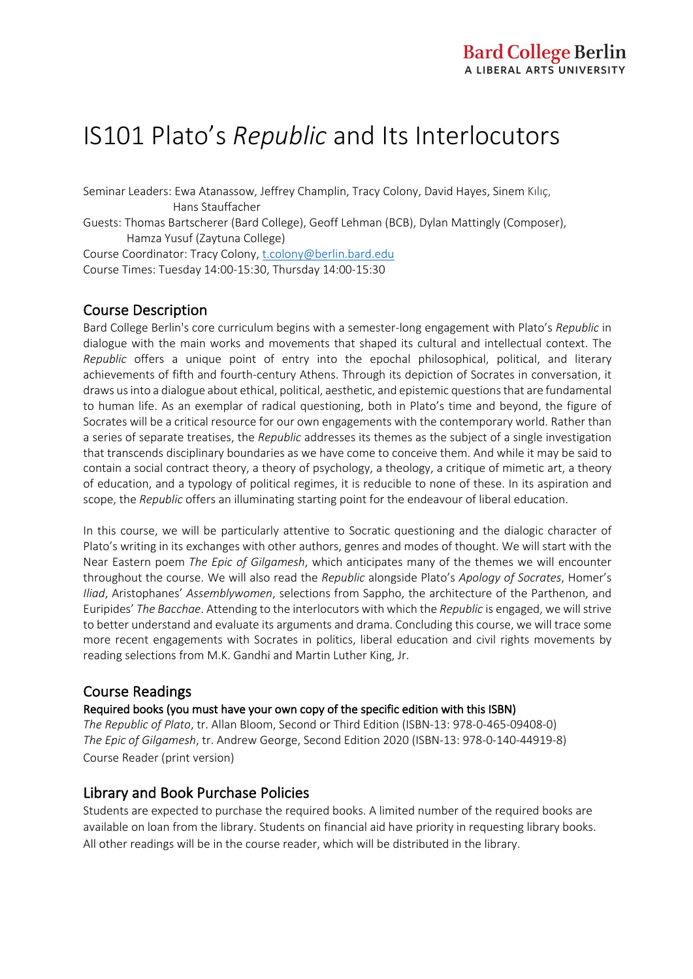# IS101 Plato's *Republic* and Its Interlocutors

Seminar Leaders: Ewa Atanassow, Jeffrey Champlin, Tracy Colony, David Hayes, Sinem Kılıç, Hans Stauffacher

Guests: Thomas Bartscherer (Bard College), Geoff Lehman (BCB), Dylan Mattingly (Composer), Hamza Yusuf (Zaytuna College)

Course Coordinator: Tracy Colony, t.colony@berlin.bard.edu Course Times: Tuesday 14:00-15:30, Thursday 14:00-15:30

#### Course Description

Bard College Berlin's core curriculum begins with a semester-long engagement with Plato's *Republic* in dialogue with the main works and movements that shaped its cultural and intellectual context. The *Republic* offers a unique point of entry into the epochal philosophical, political, and literary achievements of fifth and fourth-century Athens. Through its depiction of Socrates in conversation, it draws us into a dialogue about ethical, political, aesthetic, and epistemic questions that are fundamental to human life. As an exemplar of radical questioning, both in Plato's time and beyond, the figure of Socrates will be a critical resource for our own engagements with the contemporary world. Rather than a series of separate treatises, the *Republic* addresses its themes as the subject of a single investigation that transcends disciplinary boundaries as we have come to conceive them. And while it may be said to contain a social contract theory, a theory of psychology, a theology, a critique of mimetic art, a theory of education, and a typology of political regimes, it is reducible to none of these. In its aspiration and scope, the *Republic* offers an illuminating starting point for the endeavour of liberal education.

In this course, we will be particularly attentive to Socratic questioning and the dialogic character of Plato's writing in its exchanges with other authors, genres and modes of thought. We will start with the Near Eastern poem *The Epic of Gilgamesh*, which anticipates many of the themes we will encounter throughout the course. We will also read the *Republic* alongside Plato's *Apology of Socrates*, Homer's *Iliad*, Aristophanes' *Assemblywomen*, selections from Sappho, the architecture of the Parthenon, and Euripides' *The Bacchae*. Attending to the interlocutors with which the *Republic* is engaged, we will strive to better understand and evaluate its arguments and drama. Concluding this course, we will trace some more recent engagements with Socrates in politics, liberal education and civil rights movements by reading selections from M.K. Gandhi and Martin Luther King, Jr.

#### Course Readings

Required books (you must have your own copy of the specific edition with this ISBN)

*The Republic of Plato*, tr. Allan Bloom, Second or Third Edition (ISBN-13: 978-0-465-09408-0) *The Epic of Gilgamesh*, tr. Andrew George, Second Edition 2020 (ISBN-13: 978-0-140-44919-8) Course Reader (print version)

#### Library and Book Purchase Policies

Students are expected to purchase the required books. A limited number of the required books are available on loan from the library. Students on financial aid have priority in requesting library books. All other readings will be in the course reader, which will be distributed in the library.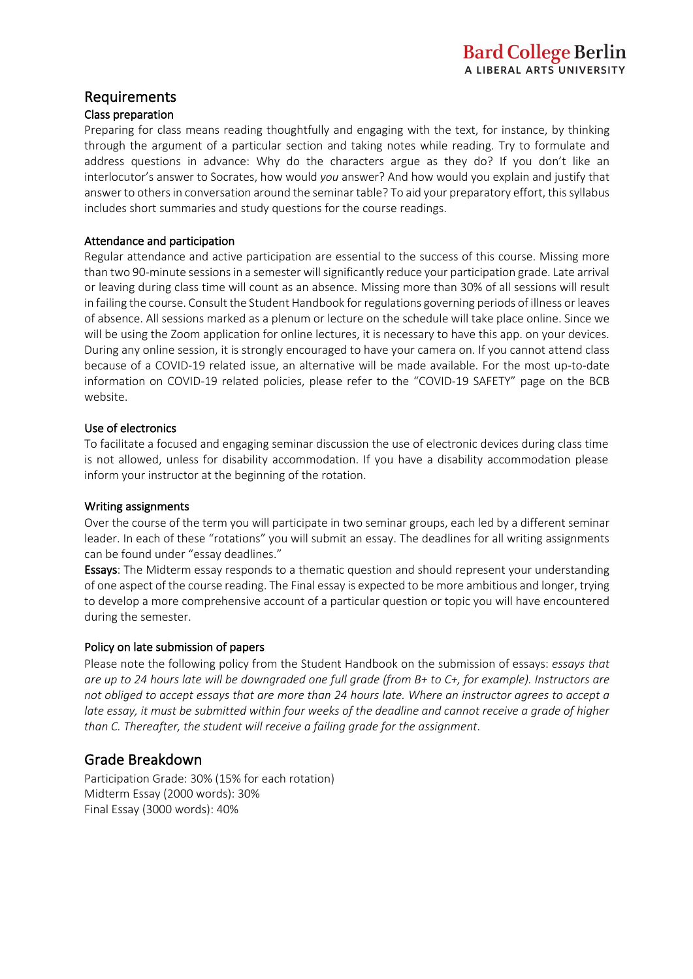#### Requirements

#### Class preparation

Preparing for class means reading thoughtfully and engaging with the text, for instance, by thinking through the argument of a particular section and taking notes while reading. Try to formulate and address questions in advance: Why do the characters argue as they do? If you don't like an interlocutor's answer to Socrates, how would *you* answer? And how would you explain and justify that answer to others in conversation around the seminar table? To aid your preparatory effort, this syllabus includes short summaries and study questions for the course readings.

#### Attendance and participation

Regular attendance and active participation are essential to the success of this course. Missing more than two 90-minute sessions in a semester will significantly reduce your participation grade. Late arrival or leaving during class time will count as an absence. Missing more than 30% of all sessions will result in failing the course. Consult the Student Handbook for regulations governing periods of illness or leaves of absence. All sessions marked as a plenum or lecture on the schedule will take place online. Since we will be using the Zoom application for online lectures, it is necessary to have this app. on your devices. During any online session, it is strongly encouraged to have your camera on. If you cannot attend class because of a COVID-19 related issue, an alternative will be made available. For the most up-to-date information on COVID-19 related policies, please refer to the "COVID-19 SAFETY" page on the BCB website.

#### Use of electronics

To facilitate a focused and engaging seminar discussion the use of electronic devices during class time is not allowed, unless for disability accommodation. If you have a disability accommodation please inform your instructor at the beginning of the rotation.

#### Writing assignments

Over the course of the term you will participate in two seminar groups, each led by a different seminar leader. In each of these "rotations" you will submit an essay. The deadlines for all writing assignments can be found under "essay deadlines."

Essays: The Midterm essay responds to a thematic question and should represent your understanding of one aspect of the course reading. The Final essay is expected to be more ambitious and longer, trying to develop a more comprehensive account of a particular question or topic you will have encountered during the semester.

#### Policy on late submission of papers

Please note the following policy from the Student Handbook on the submission of essays: *essays that are up to 24 hours late will be downgraded one full grade (from B+ to C+, for example). Instructors are not obliged to accept essays that are more than 24 hours late. Where an instructor agrees to accept a late essay, it must be submitted within four weeks of the deadline and cannot receive a grade of higher than C. Thereafter, the student will receive a failing grade for the assignment*.

#### Grade Breakdown

Participation Grade: 30% (15% for each rotation) Midterm Essay (2000 words): 30% Final Essay (3000 words): 40%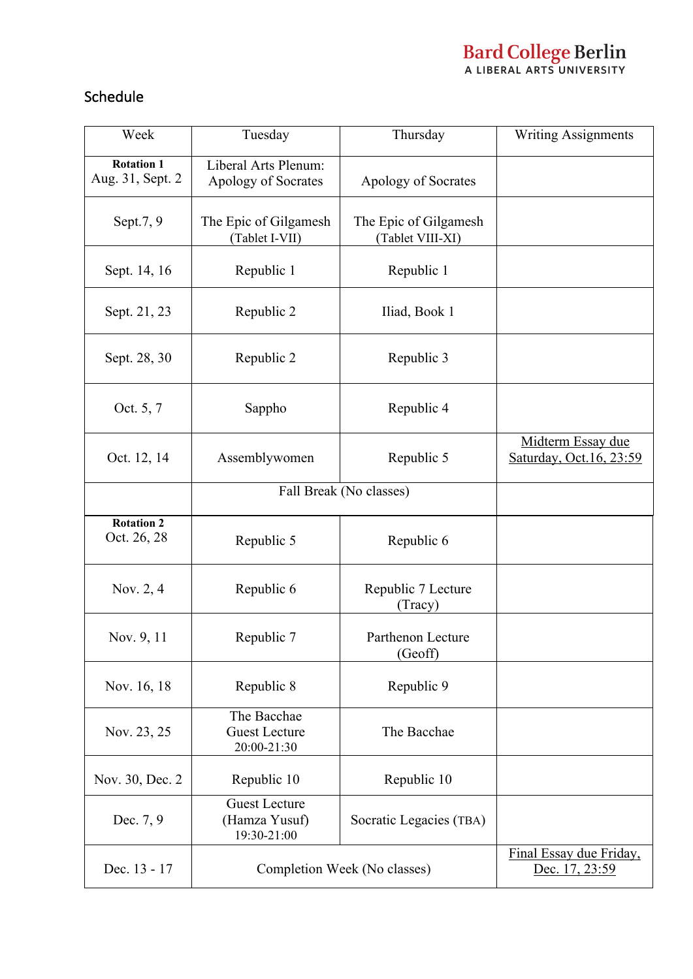# **Bard College Berlin**<br>A LIBERAL ARTS UNIVERSITY

# Schedule

| Week                                  | Tuesday                                              | Thursday                                  | <b>Writing Assignments</b>                    |
|---------------------------------------|------------------------------------------------------|-------------------------------------------|-----------------------------------------------|
| <b>Rotation 1</b><br>Aug. 31, Sept. 2 | Liberal Arts Plenum:<br>Apology of Socrates          | Apology of Socrates                       |                                               |
| Sept.7, 9                             | The Epic of Gilgamesh<br>(Tablet I-VII)              | The Epic of Gilgamesh<br>(Tablet VIII-XI) |                                               |
| Sept. 14, 16                          | Republic 1                                           | Republic 1                                |                                               |
| Sept. 21, 23                          | Republic 2                                           | Iliad, Book 1                             |                                               |
| Sept. 28, 30                          | Republic 2                                           | Republic 3                                |                                               |
| Oct. 5, 7                             | Sappho                                               | Republic 4                                |                                               |
| Oct. 12, 14                           | Assemblywomen                                        | Republic 5                                | Midterm Essay due<br>Saturday, Oct. 16, 23:59 |
|                                       | Fall Break (No classes)                              |                                           |                                               |
| <b>Rotation 2</b><br>Oct. 26, 28      | Republic 5                                           | Republic 6                                |                                               |
| Nov. 2, 4                             | Republic 6                                           | Republic 7 Lecture<br>(Tracy)             |                                               |
| Nov. 9, 11                            | Republic 7                                           | Parthenon Lecture<br>(Geoff)              |                                               |
| Nov. 16, 18                           | Republic 8                                           | Republic 9                                |                                               |
| Nov. 23, 25                           | The Bacchae<br><b>Guest Lecture</b><br>20:00-21:30   | The Bacchae                               |                                               |
| Nov. 30, Dec. 2                       | Republic 10                                          | Republic 10                               |                                               |
| Dec. 7, 9                             | <b>Guest Lecture</b><br>(Hamza Yusuf)<br>19:30-21:00 | Socratic Legacies (TBA)                   |                                               |
| Dec. 13 - 17                          | Completion Week (No classes)                         |                                           | Final Essay due Friday,<br>Dec. 17, 23:59     |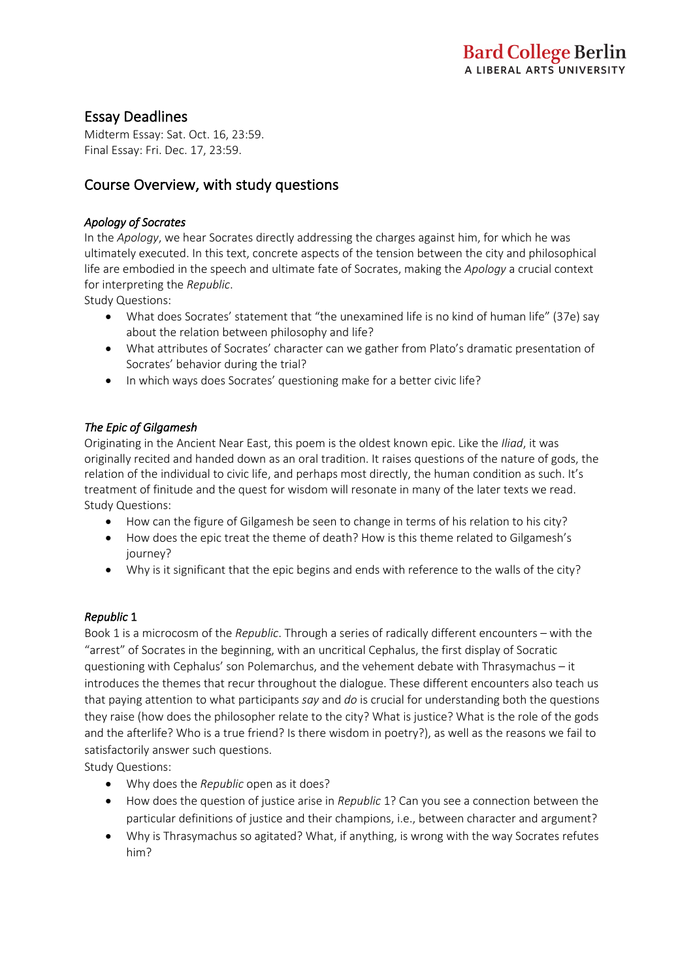## Essay Deadlines

Midterm Essay: Sat. Oct. 16, 23:59. Final Essay: Fri. Dec. 17, 23:59.

## Course Overview, with study questions

#### *Apology of Socrates*

In the *Apology*, we hear Socrates directly addressing the charges against him, for which he was ultimately executed. In this text, concrete aspects of the tension between the city and philosophical life are embodied in the speech and ultimate fate of Socrates, making the *Apology* a crucial context for interpreting the *Republic*.

Study Questions:

- What does Socrates' statement that "the unexamined life is no kind of human life" (37e) say about the relation between philosophy and life?
- What attributes of Socrates' character can we gather from Plato's dramatic presentation of Socrates' behavior during the trial?
- In which ways does Socrates' questioning make for a better civic life?

#### *The Epic of Gilgamesh*

Originating in the Ancient Near East, this poem is the oldest known epic. Like the *Iliad*, it was originally recited and handed down as an oral tradition. It raises questions of the nature of gods, the relation of the individual to civic life, and perhaps most directly, the human condition as such. It's treatment of finitude and the quest for wisdom will resonate in many of the later texts we read. Study Questions:

- How can the figure of Gilgamesh be seen to change in terms of his relation to his city?
- How does the epic treat the theme of death? How is this theme related to Gilgamesh's journey?
- Why is it significant that the epic begins and ends with reference to the walls of the city?

#### *Republic* 1

Book 1 is a microcosm of the *Republic*. Through a series of radically different encounters – with the "arrest" of Socrates in the beginning, with an uncritical Cephalus, the first display of Socratic questioning with Cephalus' son Polemarchus, and the vehement debate with Thrasymachus – it introduces the themes that recur throughout the dialogue. These different encounters also teach us that paying attention to what participants *say* and *do* is crucial for understanding both the questions they raise (how does the philosopher relate to the city? What is justice? What is the role of the gods and the afterlife? Who is a true friend? Is there wisdom in poetry?), as well as the reasons we fail to satisfactorily answer such questions.

Study Questions:

- Why does the *Republic* open as it does?
- How does the question of justice arise in *Republic* 1? Can you see a connection between the particular definitions of justice and their champions, i.e., between character and argument?
- Why is Thrasymachus so agitated? What, if anything, is wrong with the way Socrates refutes him?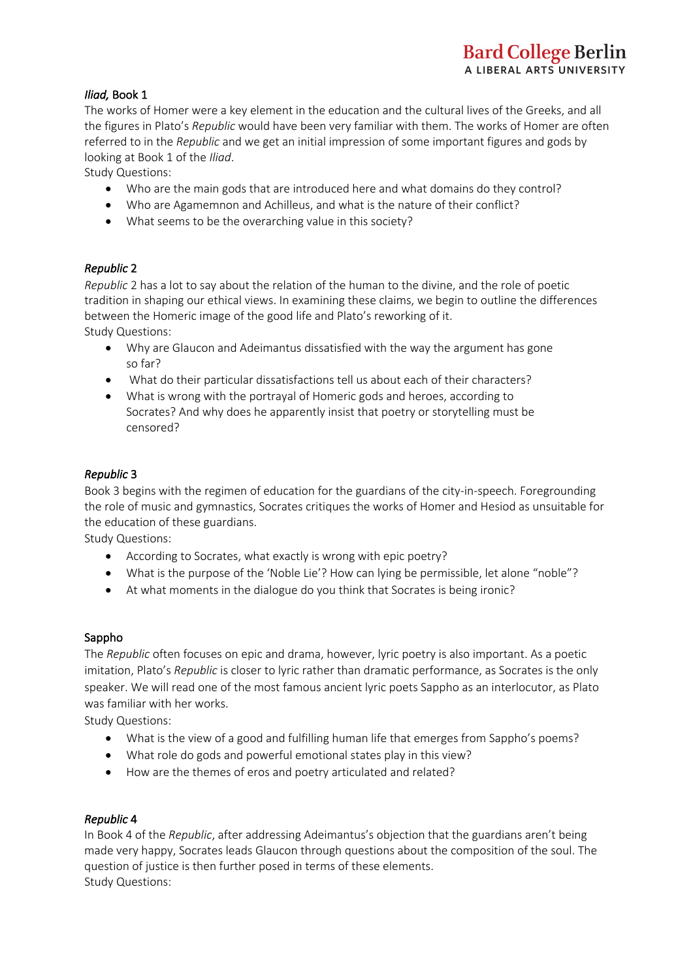#### *Iliad,* Book 1

The works of Homer were a key element in the education and the cultural lives of the Greeks, and all the figures in Plato's *Republic* would have been very familiar with them. The works of Homer are often referred to in the *Republic* and we get an initial impression of some important figures and gods by looking at Book 1 of the *Iliad*.

Study Questions:

- Who are the main gods that are introduced here and what domains do they control?
- Who are Agamemnon and Achilleus, and what is the nature of their conflict?
- What seems to be the overarching value in this society?

#### *Republic* 2

*Republic* 2 has a lot to say about the relation of the human to the divine, and the role of poetic tradition in shaping our ethical views. In examining these claims, we begin to outline the differences between the Homeric image of the good life and Plato's reworking of it. Study Questions:

- Why are Glaucon and Adeimantus dissatisfied with the way the argument has gone so far?
- What do their particular dissatisfactions tell us about each of their characters?
- What is wrong with the portrayal of Homeric gods and heroes, according to Socrates? And why does he apparently insist that poetry or storytelling must be censored?

#### *Republic* 3

Book 3 begins with the regimen of education for the guardians of the city-in-speech. Foregrounding the role of music and gymnastics, Socrates critiques the works of Homer and Hesiod as unsuitable for the education of these guardians.

Study Questions:

- According to Socrates, what exactly is wrong with epic poetry?
- What is the purpose of the 'Noble Lie'? How can lying be permissible, let alone "noble"?
- At what moments in the dialogue do you think that Socrates is being ironic?

#### Sappho

The *Republic* often focuses on epic and drama, however, lyric poetry is also important. As a poetic imitation, Plato's *Republic* is closer to lyric rather than dramatic performance, as Socrates is the only speaker. We will read one of the most famous ancient lyric poets Sappho as an interlocutor, as Plato was familiar with her works.

Study Questions:

- What is the view of a good and fulfilling human life that emerges from Sappho's poems?
- What role do gods and powerful emotional states play in this view?
- How are the themes of eros and poetry articulated and related?

#### *Republic* 4

In Book 4 of the *Republic*, after addressing Adeimantus's objection that the guardians aren't being made very happy, Socrates leads Glaucon through questions about the composition of the soul. The question of justice is then further posed in terms of these elements. Study Questions: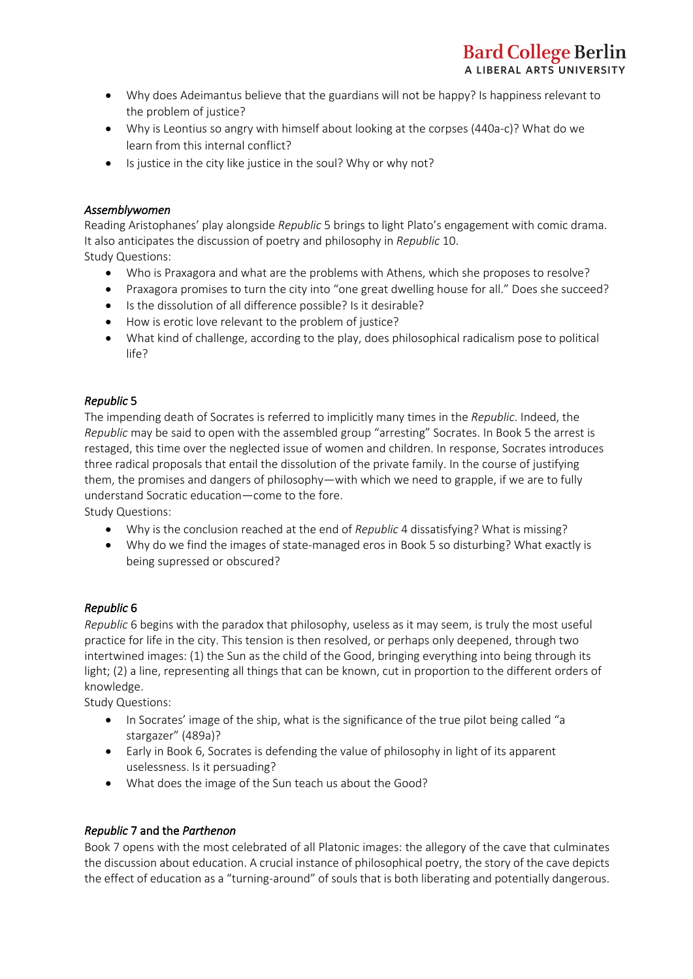- Why does Adeimantus believe that the guardians will not be happy? Is happiness relevant to the problem of justice?
- Why is Leontius so angry with himself about looking at the corpses (440a-c)? What do we learn from this internal conflict?
- Is justice in the city like justice in the soul? Why or why not?

#### *Assemblywomen*

Reading Aristophanes' play alongside *Republic* 5 brings to light Plato's engagement with comic drama. It also anticipates the discussion of poetry and philosophy in *Republic* 10. Study Questions:

- Who is Praxagora and what are the problems with Athens, which she proposes to resolve?
- Praxagora promises to turn the city into "one great dwelling house for all." Does she succeed?
- Is the dissolution of all difference possible? Is it desirable?
- How is erotic love relevant to the problem of justice?
- What kind of challenge, according to the play, does philosophical radicalism pose to political life?

#### *Republic* 5

The impending death of Socrates is referred to implicitly many times in the *Republic*. Indeed, the *Republic* may be said to open with the assembled group "arresting" Socrates. In Book 5 the arrest is restaged, this time over the neglected issue of women and children. In response, Socrates introduces three radical proposals that entail the dissolution of the private family. In the course of justifying them, the promises and dangers of philosophy—with which we need to grapple, if we are to fully understand Socratic education—come to the fore.

Study Questions:

- Why is the conclusion reached at the end of *Republic* 4 dissatisfying? What is missing?
- Why do we find the images of state-managed eros in Book 5 so disturbing? What exactly is being supressed or obscured?

#### *Republic* 6

*Republic* 6 begins with the paradox that philosophy, useless as it may seem, is truly the most useful practice for life in the city. This tension is then resolved, or perhaps only deepened, through two intertwined images: (1) the Sun as the child of the Good, bringing everything into being through its light; (2) a line, representing all things that can be known, cut in proportion to the different orders of knowledge.

Study Questions:

- In Socrates' image of the ship, what is the significance of the true pilot being called "a stargazer" (489a)?
- Early in Book 6, Socrates is defending the value of philosophy in light of its apparent uselessness. Is it persuading?
- What does the image of the Sun teach us about the Good?

#### *Republic* 7 and the *Parthenon*

Book 7 opens with the most celebrated of all Platonic images: the allegory of the cave that culminates the discussion about education. A crucial instance of philosophical poetry, the story of the cave depicts the effect of education as a "turning-around" of souls that is both liberating and potentially dangerous.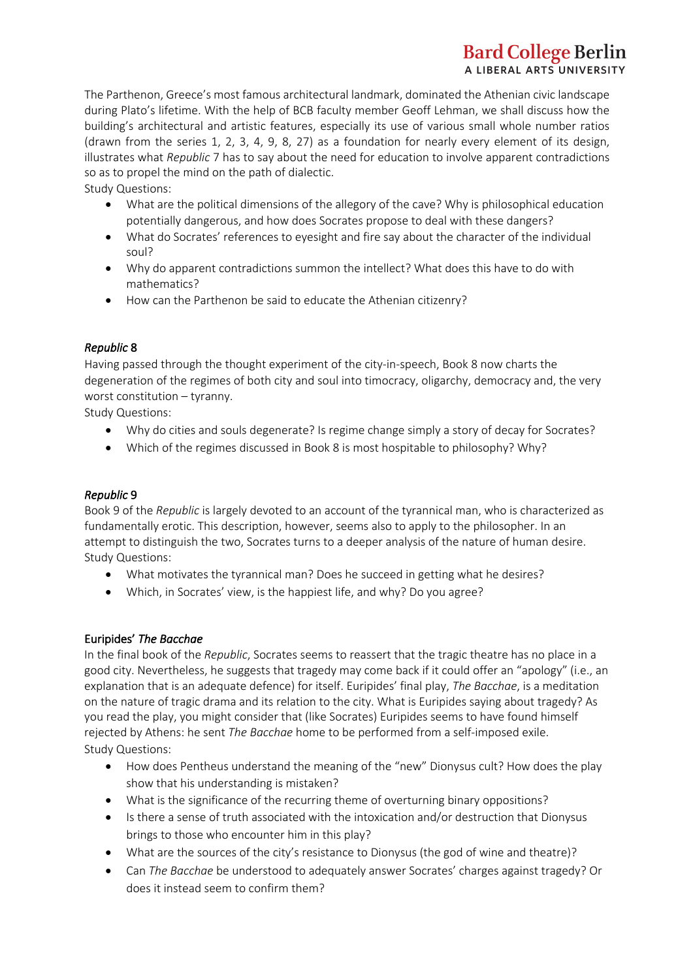# **Bard College Berlin** A LIBERAL ARTS UNIVERSITY

The Parthenon, Greece's most famous architectural landmark, dominated the Athenian civic landscape during Plato's lifetime. With the help of BCB faculty member Geoff Lehman, we shall discuss how the building's architectural and artistic features, especially its use of various small whole number ratios (drawn from the series 1, 2, 3, 4, 9, 8, 27) as a foundation for nearly every element of its design, illustrates what *Republic* 7 has to say about the need for education to involve apparent contradictions so as to propel the mind on the path of dialectic.

Study Questions:

- What are the political dimensions of the allegory of the cave? Why is philosophical education potentially dangerous, and how does Socrates propose to deal with these dangers?
- What do Socrates' references to eyesight and fire say about the character of the individual soul?
- Why do apparent contradictions summon the intellect? What does this have to do with mathematics?
- How can the Parthenon be said to educate the Athenian citizenry?

#### *Republic* 8

Having passed through the thought experiment of the city-in-speech, Book 8 now charts the degeneration of the regimes of both city and soul into timocracy, oligarchy, democracy and, the very worst constitution – tyranny.

Study Questions:

- Why do cities and souls degenerate? Is regime change simply a story of decay for Socrates?
- Which of the regimes discussed in Book 8 is most hospitable to philosophy? Why?

#### *Republic* 9

Book 9 of the *Republic* is largely devoted to an account of the tyrannical man, who is characterized as fundamentally erotic. This description, however, seems also to apply to the philosopher. In an attempt to distinguish the two, Socrates turns to a deeper analysis of the nature of human desire. Study Questions:

- What motivates the tyrannical man? Does he succeed in getting what he desires?
- Which, in Socrates' view, is the happiest life, and why? Do you agree?

#### Euripides' *The Bacchae*

In the final book of the *Republic*, Socrates seems to reassert that the tragic theatre has no place in a good city. Nevertheless, he suggests that tragedy may come back if it could offer an "apology" (i.e., an explanation that is an adequate defence) for itself. Euripides' final play, *The Bacchae*, is a meditation on the nature of tragic drama and its relation to the city. What is Euripides saying about tragedy? As you read the play, you might consider that (like Socrates) Euripides seems to have found himself rejected by Athens: he sent *The Bacchae* home to be performed from a self-imposed exile. Study Questions:

- How does Pentheus understand the meaning of the "new" Dionysus cult? How does the play show that his understanding is mistaken?
- What is the significance of the recurring theme of overturning binary oppositions?
- Is there a sense of truth associated with the intoxication and/or destruction that Dionysus brings to those who encounter him in this play?
- What are the sources of the city's resistance to Dionysus (the god of wine and theatre)?
- Can *The Bacchae* be understood to adequately answer Socrates' charges against tragedy? Or does it instead seem to confirm them?